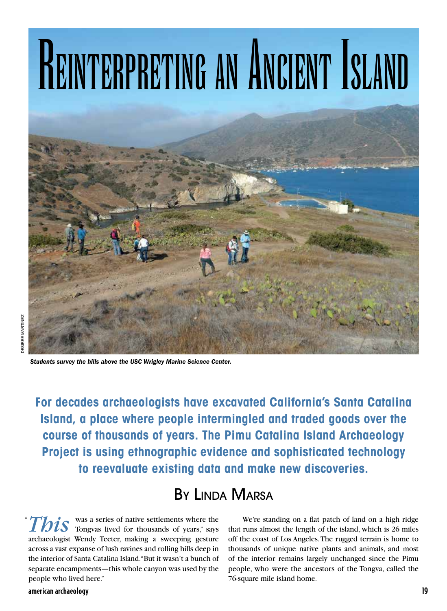## REINTERPRETING AN ANCIENT ISLAND



 *Students survey the hills above the USC Wrigley Marine Science Center.*

**For decades archaeologists have excavated California's Santa Catalina Island, a place where people intermingled and traded goods over the course of thousands of years. The Pimu Catalina Island Archaeology Project is using ethnographic evidence and sophisticated technology to reevaluate existing data and make new discoveries.**

## By Linda Marsa

**This** was a series of native settlements where the Tongvas lived for thousands of years," says archaeologist Wendy Teeter, making a sweeping gesture across a vast expanse of lush ravines and rolling hills deep in the interior of Santa Catalina Island. "But it wasn't a bunch of separate encampments—this whole canyon was used by the people who lived here." "

american archaeology 19

We're standing on a flat patch of land on a high ridge that runs almost the length of the island, which is 26 miles off the coast of Los Angeles. The rugged terrain is home to thousands of unique native plants and animals, and most of the interior remains largely unchanged since the Pimu people, who were the ancestors of the Tongva, called the 76-square mile island home.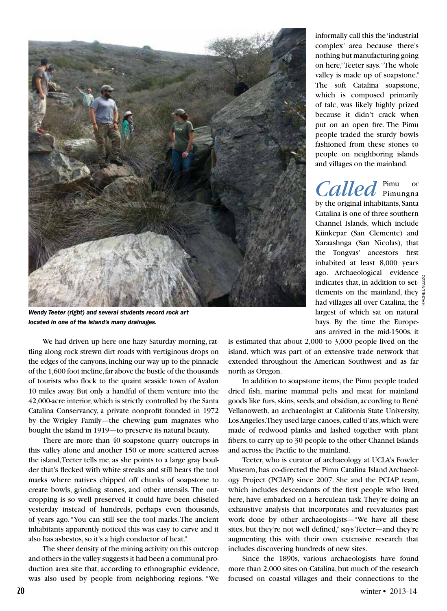

*Wendy Teeter (right) and several students record rock art located in one of the island's many drainages.*

We had driven up here one hazy Saturday morning, rattling along rock strewn dirt roads with vertiginous drops on the edges of the canyons, inching our way up to the pinnacle of the 1,600 foot incline, far above the bustle of the thousands of tourists who flock to the quaint seaside town of Avalon 10 miles away. But only a handful of them venture into the 42,000-acre interior, which is strictly controlled by the Santa Catalina Conservancy, a private nonprofit founded in 1972 by the Wrigley Family—the chewing gum magnates who bought the island in 1919—to preserve its natural beauty.

There are more than 40 soapstone quarry outcrops in this valley alone and another 150 or more scattered across the island, Teeter tells me, as she points to a large gray boulder that's flecked with white streaks and still bears the tool marks where natives chipped off chunks of soapstone to create bowls, grinding stones, and other utensils. The outcropping is so well preserved it could have been chiseled yesterday instead of hundreds, perhaps even thousands, of years ago. "You can still see the tool marks. The ancient inhabitants apparently noticed this was easy to carve and it also has asbestos, so it's a high conductor of heat."

The sheer density of the mining activity on this outcrop and others in the valley suggests it had been a communal production area site that, according to ethnographic evidence, was also used by people from neighboring regions. "We

informally call this the 'industrial complex' area because there's nothing but manufacturing going on here," Teeter says. "The whole valley is made up of soapstone." The soft Catalina soapstone, which is composed primarily of talc, was likely highly prized because it didn't crack when put on an open fire. The Pimu people traded the sturdy bowls fashioned from these stones to people on neighboring islands and villages on the mainland.

Called Pimungna by the original inhabitants, Santa Catalina is one of three southern Channel Islands, which include Kiinkepar (San Clemente) and Xaraashnga (San Nicolas), that the Tongvas' ancestors first inhabited at least 8,000 years ago. Archaeological evidence indicates that, in addition to set- $\frac{8}{3}$ tlements on the mainland, they  $\overline{\psi}$ had villages all over Catalina, the  $\frac{8}{6}$ largest of which sat on natural bays. By the time the Europeans arrived in the mid-1500s, it

Rachel Nuzzo

is estimated that about 2,000 to 3,000 people lived on the island, which was part of an extensive trade network that extended throughout the American Southwest and as far north as Oregon.

In addition to soapstone items, the Pimu people traded dried fish, marine mammal pelts and meat for mainland goods like furs, skins, seeds, and obsidian, according to René Vellanoweth, an archaeologist at California State University, Los Angeles. They used large canoes, called ti'ats, which were made of redwood planks and lashed together with plant fibers, to carry up to 30 people to the other Channel Islands and across the Pacific to the mainland.

Teeter, who is curator of archaeology at UCLA's Fowler Museum, has co-directed the Pimu Catalina Island Archaeology Project (PCIAP) since 2007. She and the PCIAP team, which includes descendants of the first people who lived here, have embarked on a herculean task. They're doing an exhaustive analysis that incorporates and reevaluates past work done by other archaeologists—"We have all these sites, but they're not well defined," says Teeter—and they're augmenting this with their own extensive research that includes discovering hundreds of new sites.

Since the 1890s, various archaeologists have found more than 2,000 sites on Catalina, but much of the research focused on coastal villages and their connections to the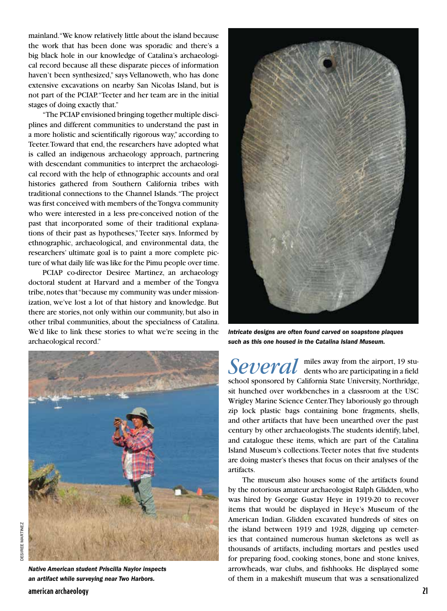mainland. "We know relatively little about the island because the work that has been done was sporadic and there's a big black hole in our knowledge of Catalina's archaeological record because all these disparate pieces of information haven't been synthesized," says Vellanoweth, who has done extensive excavations on nearby San Nicolas Island, but is not part of the PCIAP. "Teeter and her team are in the initial stages of doing exactly that."

"The PCIAP envisioned bringing together multiple disciplines and different communities to understand the past in a more holistic and scientifically rigorous way," according to Teeter. Toward that end, the researchers have adopted what is called an indigenous archaeology approach, partnering with descendant communities to interpret the archaeological record with the help of ethnographic accounts and oral histories gathered from Southern California tribes with traditional connections to the Channel Islands. "The project was first conceived with members of the Tongva community who were interested in a less pre-conceived notion of the past that incorporated some of their traditional explanations of their past as hypotheses," Teeter says. Informed by ethnographic, archaeological, and environmental data, the researchers' ultimate goal is to paint a more complete picture of what daily life was like for the Pimu people over time.

PCIAP co-director Desiree Martinez, an archaeology doctoral student at Harvard and a member of the Tongva tribe, notes that "because my community was under missionization, we've lost a lot of that history and knowledge. But there are stories, not only within our community, but also in other tribal communities, about the specialness of Catalina. We'd like to link these stories to what we're seeing in the archaeological record."





*Native American student Priscilla Naylor inspects an artifact while surveying near Two Harbors.*



*Intricate designs are often found carved on soapstone plaques such as this one housed in the Catalina Island Museum.*

Several <sup>miles</sup> away from the airport, 19 stu-<br>dents who are participating in a field school sponsored by California State University, Northridge, sit hunched over workbenches in a classroom at the USC Wrigley Marine Science Center. They laboriously go through zip lock plastic bags containing bone fragments, shells, and other artifacts that have been unearthed over the past century by other archaeologists. The students identify, label, and catalogue these items, which are part of the Catalina Island Museum's collections. Teeter notes that five students are doing master's theses that focus on their analyses of the artifacts.

The museum also houses some of the artifacts found by the notorious amateur archaeologist Ralph Glidden, who was hired by George Gustav Heye in 1919-20 to recover items that would be displayed in Heye's Museum of the American Indian. Glidden excavated hundreds of sites on the island between 1919 and 1928, digging up cemeteries that contained numerous human skeletons as well as thousands of artifacts, including mortars and pestles used for preparing food, cooking stones, bone and stone knives, arrowheads, war clubs, and fishhooks. He displayed some of them in a makeshift museum that was a sensationalized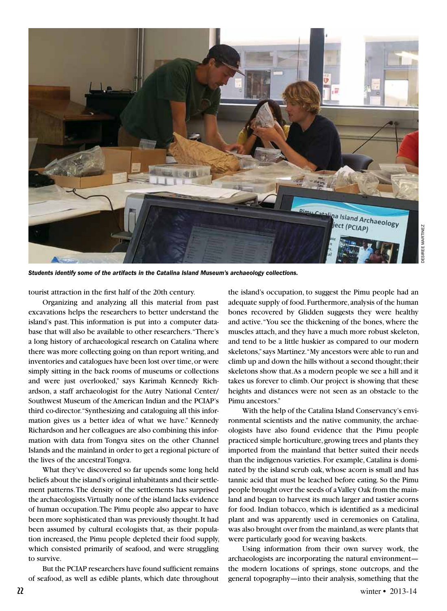

*Students identify some of the artifacts in the Catalina Island Museum's archaeology collections.*

tourist attraction in the first half of the 20th century.

Organizing and analyzing all this material from past excavations helps the researchers to better understand the island's past. This information is put into a computer database that will also be available to other researchers. "There's a long history of archaeological research on Catalina where there was more collecting going on than report writing, and inventories and catalogues have been lost over time, or were simply sitting in the back rooms of museums or collections and were just overlooked," says Karimah Kennedy Richardson, a staff archaeologist for the Autry National Center/ Southwest Museum of the American Indian and the PCIAP's third co-director. "Synthesizing and cataloguing all this information gives us a better idea of what we have." Kennedy Richardson and her colleagues are also combining this information with data from Tongva sites on the other Channel Islands and the mainland in order to get a regional picture of the lives of the ancestral Tongva.

What they've discovered so far upends some long held beliefs about the island's original inhabitants and their settlement patterns. The density of the settlements has surprised the archaeologists. Virtually none of the island lacks evidence of human occupation. The Pimu people also appear to have been more sophisticated than was previously thought. It had been assumed by cultural ecologists that, as their population increased, the Pimu people depleted their food supply, which consisted primarily of seafood, and were struggling to survive.

But the PCIAP researchers have found sufficient remains of seafood, as well as edible plants, which date throughout the island's occupation, to suggest the Pimu people had an adequate supply of food. Furthermore, analysis of the human bones recovered by Glidden suggests they were healthy and active. "You see the thickening of the bones, where the muscles attach, and they have a much more robust skeleton, and tend to be a little huskier as compared to our modern skeletons," says Martinez. "My ancestors were able to run and climb up and down the hills without a second thought; their skeletons show that. As a modern people we see a hill and it takes us forever to climb. Our project is showing that these heights and distances were not seen as an obstacle to the Pimu ancestors."

With the help of the Catalina Island Conservancy's environmental scientists and the native community, the archaeologists have also found evidence that the Pimu people practiced simple horticulture, growing trees and plants they imported from the mainland that better suited their needs than the indigenous varieties. For example, Catalina is dominated by the island scrub oak, whose acorn is small and has tannic acid that must be leached before eating. So the Pimu people brought over the seeds of a Valley Oak from the mainland and began to harvest its much larger and tastier acorns for food. Indian tobacco, which is identified as a medicinal plant and was apparently used in ceremonies on Catalina, was also brought over from the mainland, as were plants that were particularly good for weaving baskets.

Using information from their own survey work, the archaeologists are incorporating the natural environment the modern locations of springs, stone outcrops, and the general topography—into their analysis, something that the